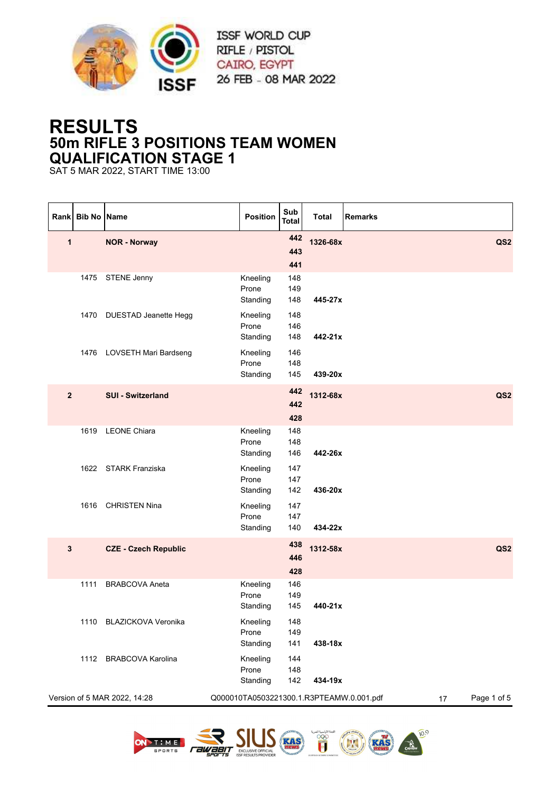

## **RESULTS 50m RIFLE 3 POSITIONS TEAM WOMEN QUALIFICATION STAGE 1**

SAT 5 MAR 2022, START TIME 13:00

| Rank           | <b>Bib No Name</b> |                              | Position                                 | Sub<br><b>Total</b>      | <b>Total</b> | <b>Remarks</b> |                 |
|----------------|--------------------|------------------------------|------------------------------------------|--------------------------|--------------|----------------|-----------------|
| 1              |                    | <b>NOR - Norway</b>          |                                          | 442<br>443               | 1326-68x     |                | QS <sub>2</sub> |
|                |                    | 1475 STENE Jenny             | Kneeling<br>Prone<br>Standing            | 441<br>148<br>149<br>148 | 445-27x      |                |                 |
|                | 1470               | <b>DUESTAD Jeanette Hegg</b> | Kneeling<br>Prone<br>Standing            | 148<br>146<br>148        | 442-21x      |                |                 |
|                |                    | 1476 LOVSETH Mari Bardseng   | Kneeling<br>Prone<br>Standing            | 146<br>148<br>145        | 439-20x      |                |                 |
| $\overline{2}$ |                    | <b>SUI - Switzerland</b>     |                                          | 442<br>442<br>428        | 1312-68x     |                | QS <sub>2</sub> |
|                |                    | 1619 LEONE Chiara            | Kneeling<br>Prone<br>Standing            | 148<br>148<br>146        | 442-26x      |                |                 |
|                |                    | 1622 STARK Franziska         | Kneeling<br>Prone<br>Standing            | 147<br>147<br>142        | 436-20x      |                |                 |
|                |                    | 1616 CHRISTEN Nina           | Kneeling<br>Prone<br>Standing            | 147<br>147<br>140        | 434-22x      |                |                 |
| 3              |                    | <b>CZE - Czech Republic</b>  |                                          | 438<br>446<br>428        | 1312-58x     |                | QS <sub>2</sub> |
|                | 1111               | <b>BRABCOVA Aneta</b>        | Kneeling<br>Prone<br>Standing            | 146<br>149<br>145        | 440-21x      |                |                 |
|                |                    | 1110 BLAZICKOVA Veronika     | Kneeling<br>Prone<br>Standing            | 148<br>149<br>141        | 438-18x      |                |                 |
|                | 1112               | <b>BRABCOVA Karolina</b>     | Kneeling<br>Prone<br>Standing            | 144<br>148<br>142        | 434-19x      |                |                 |
|                |                    | Version of 5 MAR 2022, 14:28 | Q000010TA0503221300.1.R3PTEAMW.0.001.pdf |                          |              | 17             | Page 1 of 5     |

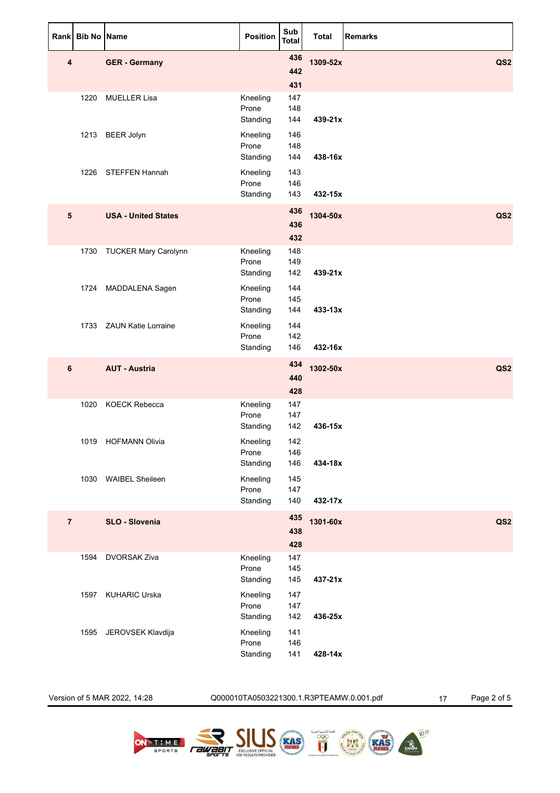| Rank           | <b>Bib No Name</b> |                             | <b>Position</b>               | Sub<br>Total      | <b>Total</b> | <b>Remarks</b>  |
|----------------|--------------------|-----------------------------|-------------------------------|-------------------|--------------|-----------------|
| 4              |                    | <b>GER - Germany</b>        |                               | 436<br>442<br>431 | 1309-52x     | QS <sub>2</sub> |
|                | 1220               | <b>MUELLER Lisa</b>         | Kneeling<br>Prone<br>Standing | 147<br>148<br>144 | 439-21x      |                 |
|                |                    | 1213 BEER Jolyn             | Kneeling<br>Prone<br>Standing | 146<br>148<br>144 | 438-16x      |                 |
|                |                    | 1226 STEFFEN Hannah         | Kneeling<br>Prone<br>Standing | 143<br>146<br>143 | 432-15x      |                 |
| 5              |                    | <b>USA - United States</b>  |                               | 436<br>436<br>432 | 1304-50x     | QS <sub>2</sub> |
|                | 1730               | <b>TUCKER Mary Carolynn</b> | Kneeling<br>Prone<br>Standing | 148<br>149<br>142 | 439-21x      |                 |
|                |                    | 1724 MADDALENA Sagen        | Kneeling<br>Prone<br>Standing | 144<br>145<br>144 | $433 - 13x$  |                 |
|                |                    | 1733 ZAUN Katie Lorraine    | Kneeling<br>Prone<br>Standing | 144<br>142<br>146 | 432-16x      |                 |
| 6              |                    | <b>AUT - Austria</b>        |                               | 434<br>440<br>428 | 1302-50x     | QS <sub>2</sub> |
|                |                    | 1020 KOECK Rebecca          | Kneeling<br>Prone<br>Standing | 147<br>147<br>142 | 436-15x      |                 |
|                | 1019               | <b>HOFMANN Olivia</b>       | Kneeling<br>Prone<br>Standing | 142<br>146<br>146 | 434-18x      |                 |
|                |                    | 1030 WAIBEL Sheileen        | Kneeling<br>Prone<br>Standing | 145<br>147<br>140 | 432-17x      |                 |
| $\overline{7}$ |                    | SLO - Slovenia              |                               | 435<br>438<br>428 | 1301-60x     | QS <sub>2</sub> |
|                | 1594               | <b>DVORSAK Ziva</b>         | Kneeling<br>Prone<br>Standing | 147<br>145<br>145 | 437-21x      |                 |
|                | 1597               | <b>KUHARIC Urska</b>        | Kneeling<br>Prone<br>Standing | 147<br>147<br>142 | 436-25x      |                 |
|                | 1595               | JEROVSEK Klavdija           | Kneeling<br>Prone<br>Standing | 141<br>146<br>141 | 428-14x      |                 |

Version of 5 MAR 2022, 14:28 Q000010TA0503221300.1.R3PTEAMW.0.001.pdf 17 Page 2 of 5

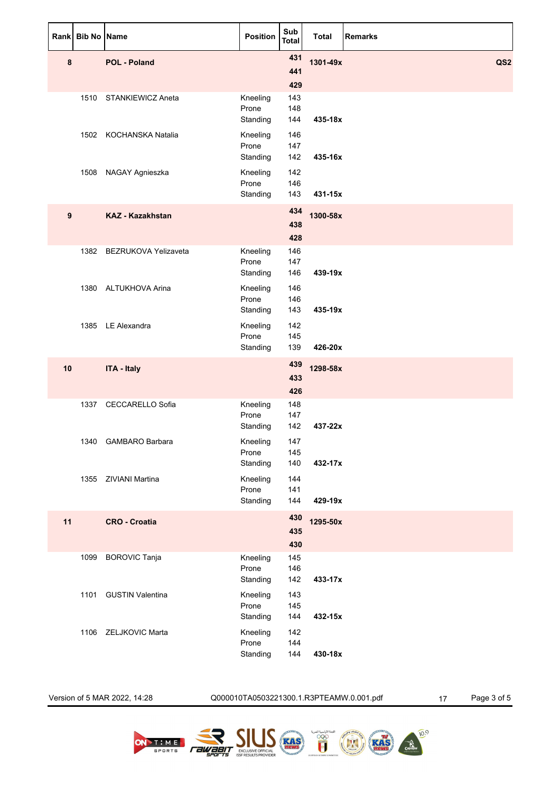| Rank | <b>Bib No Name</b> |                           | <b>Position</b>               | Sub<br><b>Total</b> | <b>Total</b> | <b>Remarks</b>  |
|------|--------------------|---------------------------|-------------------------------|---------------------|--------------|-----------------|
| 8    |                    | <b>POL - Poland</b>       |                               | 431<br>441<br>429   | 1301-49x     | QS <sub>2</sub> |
|      |                    | 1510 STANKIEWICZ Aneta    | Kneeling<br>Prone<br>Standing | 143<br>148<br>144   | 435-18x      |                 |
|      |                    | 1502 KOCHANSKA Natalia    | Kneeling<br>Prone<br>Standing | 146<br>147<br>142   | 435-16x      |                 |
|      | 1508               | NAGAY Agnieszka           | Kneeling<br>Prone<br>Standing | 142<br>146<br>143   | 431-15x      |                 |
| 9    |                    | <b>KAZ - Kazakhstan</b>   |                               | 434<br>438<br>428   | 1300-58x     |                 |
|      |                    | 1382 BEZRUKOVA Yelizaveta | Kneeling<br>Prone<br>Standing | 146<br>147<br>146   | 439-19x      |                 |
|      |                    | 1380 ALTUKHOVA Arina      | Kneeling<br>Prone<br>Standing | 146<br>146<br>143   | 435-19x      |                 |
|      |                    | 1385 LE Alexandra         | Kneeling<br>Prone<br>Standing | 142<br>145<br>139   | 426-20x      |                 |
| 10   |                    | <b>ITA - Italy</b>        |                               | 439<br>433<br>426   | 1298-58x     |                 |
|      | 1337               | <b>CECCARELLO Sofia</b>   | Kneeling<br>Prone<br>Standing | 148<br>147<br>142   | 437-22x      |                 |
|      | 1340               | <b>GAMBARO Barbara</b>    | Kneeling<br>Prone<br>Standing | 147<br>145<br>140   | 432-17x      |                 |
|      |                    | 1355 ZIVIANI Martina      | Kneeling<br>Prone<br>Standing | 144<br>141<br>144   | 429-19x      |                 |
| 11   |                    | <b>CRO - Croatia</b>      |                               | 430<br>435<br>430   | 1295-50x     |                 |
|      | 1099               | <b>BOROVIC Tanja</b>      | Kneeling<br>Prone<br>Standing | 145<br>146<br>142   | 433-17x      |                 |
|      | 1101               | <b>GUSTIN Valentina</b>   | Kneeling<br>Prone<br>Standing | 143<br>145<br>144   | 432-15x      |                 |
|      |                    | 1106 ZELJKOVIC Marta      | Kneeling<br>Prone<br>Standing | 142<br>144<br>144   | 430-18x      |                 |

Version of 5 MAR 2022, 14:28 Q000010TA0503221300.1.R3PTEAMW.0.001.pdf 17 Page 3 of 5

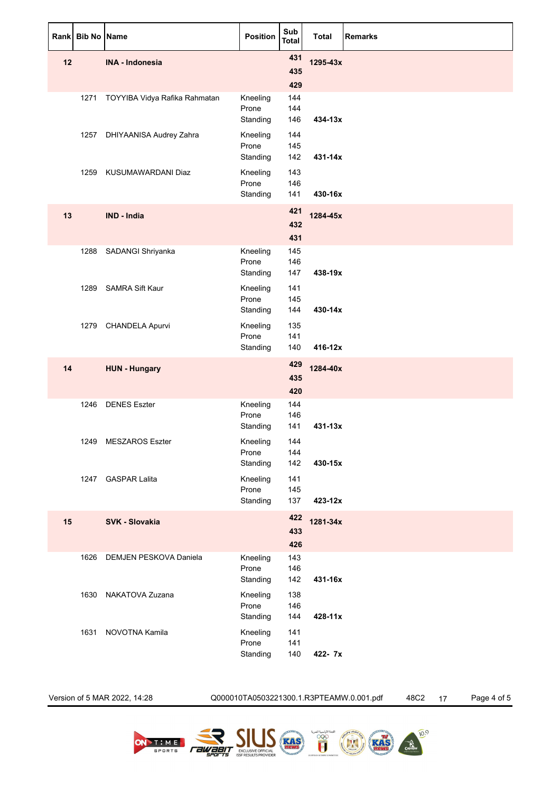| Rank | <b>Bib No Name</b> |                               | <b>Position</b>               | Sub<br>Total      | <b>Total</b> | <b>Remarks</b> |
|------|--------------------|-------------------------------|-------------------------------|-------------------|--------------|----------------|
| 12   |                    | <b>INA - Indonesia</b>        |                               | 431<br>435<br>429 | 1295-43x     |                |
|      | 1271               | TOYYIBA Vidya Rafika Rahmatan | Kneeling<br>Prone<br>Standing | 144<br>144<br>146 | 434-13x      |                |
|      | 1257               | DHIYAANISA Audrey Zahra       | Kneeling<br>Prone<br>Standing | 144<br>145<br>142 | 431-14x      |                |
|      | 1259               | KUSUMAWARDANI Diaz            | Kneeling<br>Prone<br>Standing | 143<br>146<br>141 | 430-16x      |                |
| 13   |                    | IND - India                   |                               | 421<br>432<br>431 | 1284-45x     |                |
|      | 1288               | SADANGI Shriyanka             | Kneeling<br>Prone<br>Standing | 145<br>146<br>147 | 438-19x      |                |
|      | 1289               | <b>SAMRA Sift Kaur</b>        | Kneeling<br>Prone<br>Standing | 141<br>145<br>144 | 430-14x      |                |
|      | 1279               | <b>CHANDELA Apurvi</b>        | Kneeling<br>Prone<br>Standing | 135<br>141<br>140 | 416-12x      |                |
| 14   |                    | <b>HUN - Hungary</b>          |                               | 429<br>435<br>420 | 1284-40x     |                |
|      | 1246               | <b>DENES Eszter</b>           | Kneeling<br>Prone<br>Standing | 144<br>146<br>141 | $431 - 13x$  |                |
|      | 1249               | <b>MESZAROS Eszter</b>        | Kneeling<br>Prone<br>Standing | 144<br>144<br>142 | 430-15x      |                |
|      |                    | 1247 GASPAR Lalita            | Kneeling<br>Prone<br>Standing | 141<br>145<br>137 | 423-12x      |                |
| 15   |                    | SVK - Slovakia                |                               | 422<br>433<br>426 | 1281-34x     |                |
|      | 1626               | DEMJEN PESKOVA Daniela        | Kneeling<br>Prone<br>Standing | 143<br>146<br>142 | 431-16x      |                |
|      | 1630               | NAKATOVA Zuzana               | Kneeling<br>Prone<br>Standing | 138<br>146<br>144 | 428-11x      |                |
|      | 1631               | NOVOTNA Kamila                | Kneeling<br>Prone<br>Standing | 141<br>141<br>140 | 422- 7x      |                |

Version of 5 MAR 2022, 14:28 Q000010TA0503221300.1.R3PTEAMW.0.001.pdf 48C2 17 Page 4 of 5